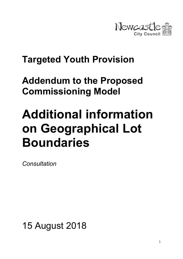

# Targeted Youth Provision

# Addendum to the Proposed Commissioning Model

# Additional information on Geographical Lot Boundaries

Consultation

15 August 2018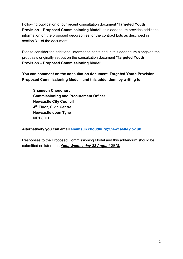Following publication of our recent consultation document 'Targeted Youth Provision – Proposed Commissioning Model', this addendum provides additional information on the proposed geographies for the contract Lots as described in section 3.1 of the document.

Please consider the additional information contained in this addendum alongside the proposals originally set out on the consultation document 'Targeted Youth Provision – Proposed Commissioning Model'.

You can comment on the consultation document 'Targeted Youth Provision – Proposed Commissioning Model', and this addendum, by writing to:

Shamsun Choudhury Commissioning and Procurement Officer Newcastle City Council 4<sup>th</sup> Floor, Civic Centre Newcastle upon Tyne NE1 8QH

Alternatively you can email shamsun.choudhury@newcastle.gov.uk.

Responses to the Proposed Commissioning Model and this addendum should be submitted no later than 4pm, Wednesday 22 August 2018.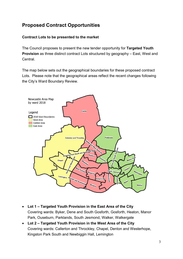## Proposed Contract Opportunities

#### Contract Lots to be presented to the market

The Council proposes to present the new tender opportunity for Targeted Youth Provision as three distinct contract Lots structured by geography – East, West and Central.

The map below sets out the geographical boundaries for these proposed contract Lots. Please note that the geographical areas reflect the recent changes following the City's Ward Boundary Review.



- Lot 1 Targeted Youth Provision in the East Area of the City Covering wards: Byker, Dene and South Gosforth, Gosforth, Heaton, Manor Park, Ouseburn, Parklands, South Jesmond, Walker, Walkergate
- Lot 2 Targeted Youth Provision in the West Area of the City Covering wards: Callerton and Throckley, Chapel, Denton and Westerhope, Kingston Park South and Newbiggin Hall, Lemington